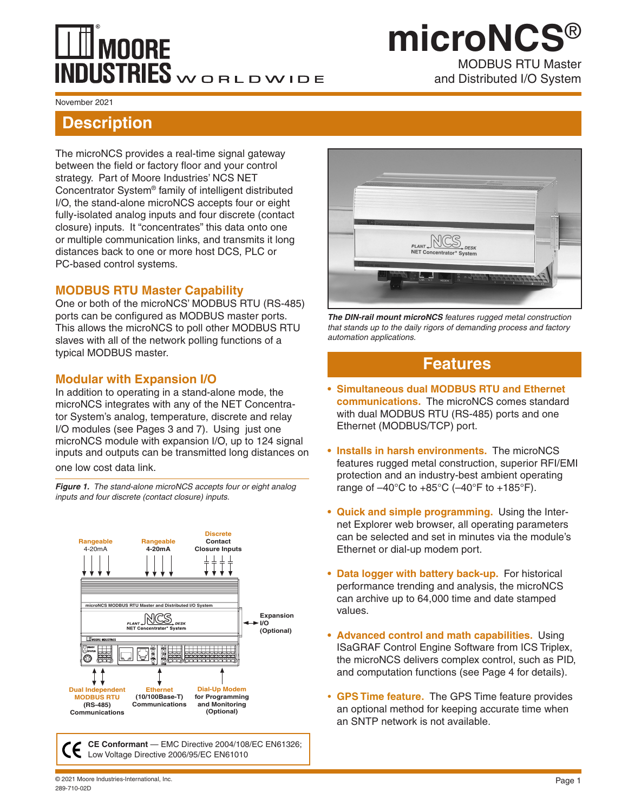# **MOORE** INDUSTRIES WORLDWIDE

### MODBUS RTU Master and Distributed I/O System **microNCS**®

#### November 2021

### **Description**

The microNCS provides a real-time signal gateway between the field or factory floor and your control strategy. Part of Moore Industries' NCS NET Concentrator System® family of intelligent distributed I/O, the stand-alone microNCS accepts four or eight fully-isolated analog inputs and four discrete (contact closure) inputs. It "concentrates" this data onto one or multiple communication links, and transmits it long distances back to one or more host DCS, PLC or PC-based control systems.

#### **MODBUS RTU Master Capability**

One or both of the microNCS' MODBUS RTU (RS-485) ports can be configured as MODBUS master ports. This allows the microNCS to poll other MODBUS RTU slaves with all of the network polling functions of a typical MODBUS master.

### **Modular with Expansion I/O**

In addition to operating in a stand-alone mode, the microNCS integrates with any of the NET Concentrator System's analog, temperature, discrete and relay I/O modules (see Pages 3 and 7). Using just one microNCS module with expansion I/O, up to 124 signal inputs and outputs can be transmitted long distances on

one low cost data link.

*Figure 1. The stand-alone microNCS accepts four or eight analog inputs and four discrete (contact closure) inputs.*



**CE Conformant** — EMC Directive 2004/108/EC EN61326; Low Voltage Directive 2006/95/EC EN61010



*The DIN-rail mount microNCS features rugged metal construction that stands up to the daily rigors of demanding process and factory automation applications.*

### **Features**

- **• Simultaneous dual MODBUS RTU and Ethernet communications.** The microNCS comes standard with dual MODBUS RTU (RS-485) ports and one Ethernet (MODBUS/TCP) port.
- **• Installs in harsh environments.** The microNCS features rugged metal construction, superior RFI/EMI protection and an industry-best ambient operating range of  $-40^{\circ}$ C to  $+85^{\circ}$ C ( $-40^{\circ}$ F to  $+185^{\circ}$ F).
- **• Quick and simple programming.** Using the Internet Explorer web browser, all operating parameters can be selected and set in minutes via the module's Ethernet or dial-up modem port.
- **• Data logger with battery back-up.** For historical performance trending and analysis, the microNCS can archive up to 64,000 time and date stamped values.
- **• Advanced control and math capabilities.** Using ISaGRAF Control Engine Software from ICS Triplex, the microNCS delivers complex control, such as PID, and computation functions (see Page 4 for details).
- **• GPS Time feature.** The GPS Time feature provides an optional method for keeping accurate time when an SNTP network is not available.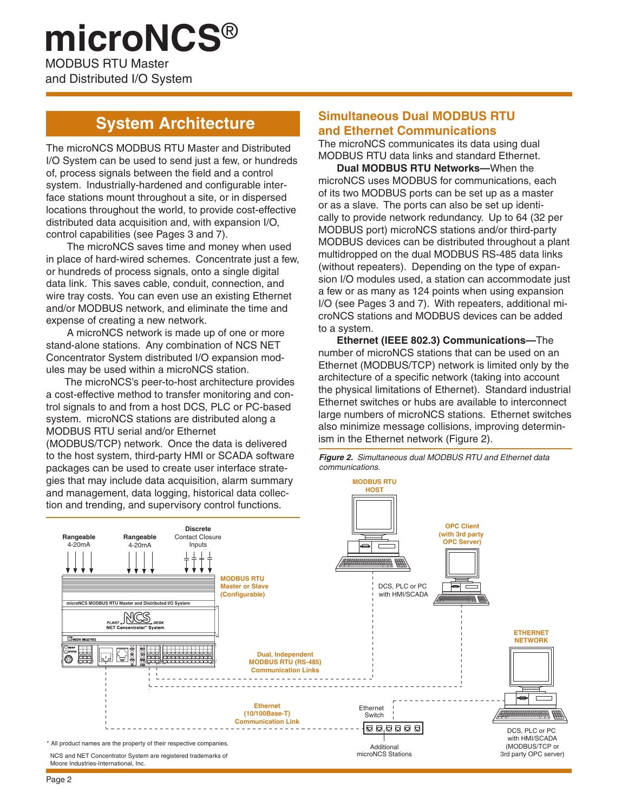### MODBUS RTU Master and Distributed I/O System **microNCS**®

### **System Architecture**

The microNCS MODBUS RTU Master and Distributed I/O System can be used to send just a few, or hundreds of, process signals between the field and a control system. Industrially-hardened and configurable interface stations mount throughout a site, or in dispersed locations throughout the world, to provide cost-effective distributed data acquisition and, with expansion I/O, control capabilities (see Pages 3 and 7).

The microNCS saves time and money when used in place of hard-wired schemes. Concentrate just a few, or hundreds of process signals, onto a single digital data link. This saves cable, conduit, connection, and wire tray costs. You can even use an existing Ethernet and/or MODBUS network, and eliminate the time and expense of creating a new network.

A microNCS network is made up of one or more stand-alone stations. Any combination of NCS NET Concentrator System distributed I/O expansion modules may be used within a microNCS station.

The microNCS's peer-to-host architecture provides a cost-effective method to transfer monitoring and control signals to and from a host DCS, PLC or PC-based system. microNCS stations are distributed along a MODBUS RTU serial and/or Ethernet (MODBUS/TCP) network. Once the data is delivered to the host system, third-party HMI or SCADA software packages can be used to create user interface strategies that may include data acquisition, alarm summary and management, data logging, historical data collec-

### **Simultaneous Dual MODBUS RTU and Ethernet Communications**

The microNCS communicates its data using dual MODBUS RTU data links and standard Ethernet.

**Dual MODBUS RTU Networks—**When the microNCS uses MODBUS for communications, each of its two MODBUS ports can be set up as a master or as a slave. The ports can also be set up identically to provide network redundancy. Up to 64 (32 per MODBUS port) microNCS stations and/or third-party MODBUS devices can be distributed throughout a plant multidropped on the dual MODBUS RS-485 data links (without repeaters). Depending on the type of expansion I/O modules used, a station can accommodate just a few or as many as 124 points when using expansion I/O (see Pages 3 and 7). With repeaters, additional microNCS stations and MODBUS devices can be added to a system.

**Ethernet (IEEE 802.3) Communications—**The number of microNCS stations that can be used on an Ethernet (MODBUS/TCP) network is limited only by the architecture of a specific network (taking into account the physical limitations of Ethernet). Standard industrial Ethernet switches or hubs are available to interconnect large numbers of microNCS stations. Ethernet switches also minimize message collisions, improving determinism in the Ethernet network (Figure 2).

*Figure 2. Simultaneous dual MODBUS RTU and Ethernet data communications.*

**MODBUS RTU**

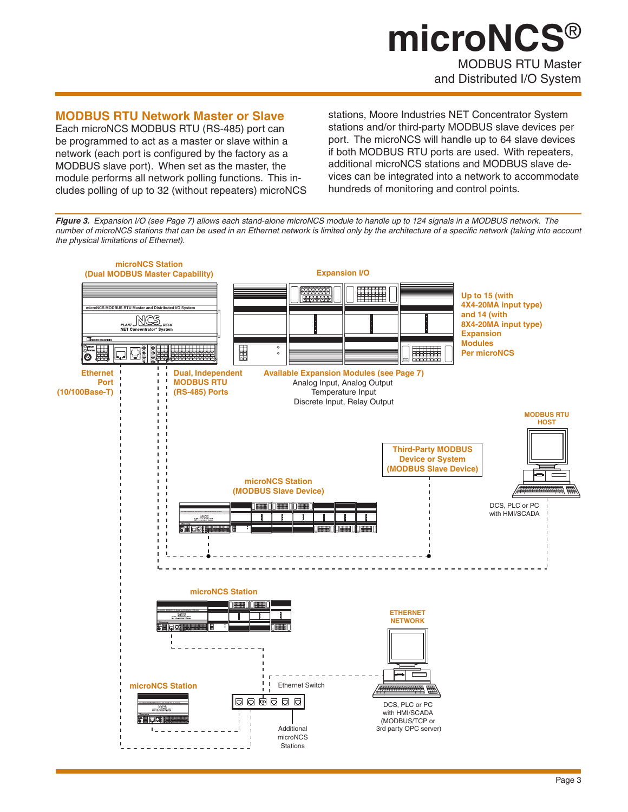## MODBUS RTU Master and Distributed I/O System **microNCS**®

### **MODBUS RTU Network Master or Slave**

Each microNCS MODBUS RTU (RS-485) port can be programmed to act as a master or slave within a network (each port is configured by the factory as a MODBUS slave port). When set as the master, the module performs all network polling functions. This includes polling of up to 32 (without repeaters) microNCS

stations, Moore Industries NET Concentrator System stations and/or third-party MODBUS slave devices per port. The microNCS will handle up to 64 slave devices if both MODBUS RTU ports are used. With repeaters, additional microNCS stations and MODBUS slave devices can be integrated into a network to accommodate hundreds of monitoring and control points.

*Figure 3. Expansion I/O (see Page 7) allows each stand-alone microNCS module to handle up to 124 signals in a MODBUS network. The number of microNCS stations that can be used in an Ethernet network is limited only by the architecture of a specific network (taking into account the physical limitations of Ethernet).* 

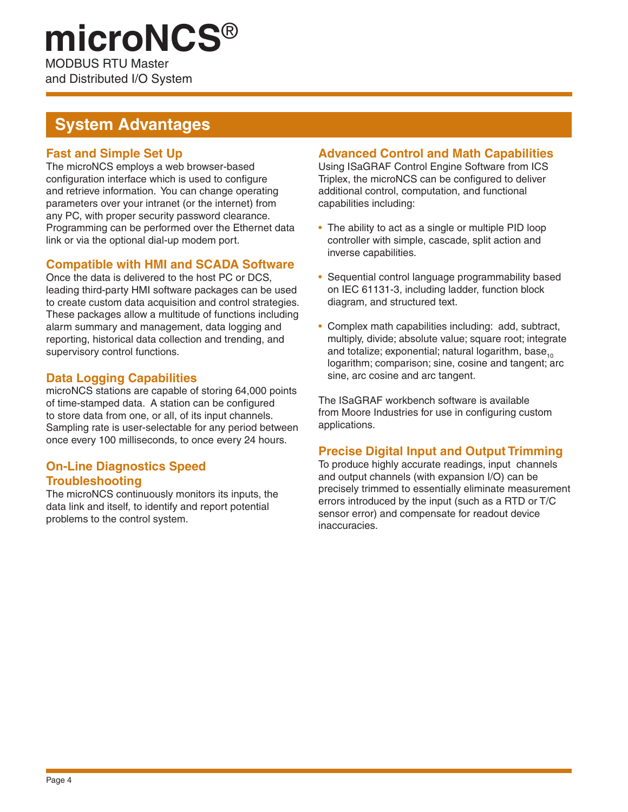# **microNCS**®

MODBUS RTU Master and Distributed I/O System

### **System Advantages**

### **Fast and Simple Set Up**

The microNCS employs a web browser-based configuration interface which is used to configure and retrieve information. You can change operating parameters over your intranet (or the internet) from any PC, with proper security password clearance. Programming can be performed over the Ethernet data link or via the optional dial-up modem port.

### **Compatible with HMI and SCADA Software**

Once the data is delivered to the host PC or DCS, leading third-party HMI software packages can be used to create custom data acquisition and control strategies. These packages allow a multitude of functions including alarm summary and management, data logging and reporting, historical data collection and trending, and supervisory control functions.

### **Data Logging Capabilities**

microNCS stations are capable of storing 64,000 points of time-stamped data. A station can be configured to store data from one, or all, of its input channels. Sampling rate is user-selectable for any period between once every 100 milliseconds, to once every 24 hours.

### **On-Line Diagnostics Speed Troubleshooting**

The microNCS continuously monitors its inputs, the data link and itself, to identify and report potential problems to the control system.

### **Advanced Control and Math Capabilities**

Using ISaGRAF Control Engine Software from ICS Triplex, the microNCS can be configured to deliver additional control, computation, and functional capabilities including:

- The ability to act as a single or multiple PID loop controller with simple, cascade, split action and inverse capabilities.
- Sequential control language programmability based on IEC 61131-3, including ladder, function block diagram, and structured text.
- Complex math capabilities including: add, subtract, multiply, divide; absolute value; square root; integrate and totalize; exponential; natural logarithm, base<sub>10</sub> logarithm; comparison; sine, cosine and tangent; arc sine, arc cosine and arc tangent.

The ISaGRAF workbench software is available from Moore Industries for use in configuring custom applications.

### **Precise Digital Input and Output Trimming**

To produce highly accurate readings, input channels and output channels (with expansion I/O) can be precisely trimmed to essentially eliminate measurement errors introduced by the input (such as a RTD or T/C sensor error) and compensate for readout device inaccuracies.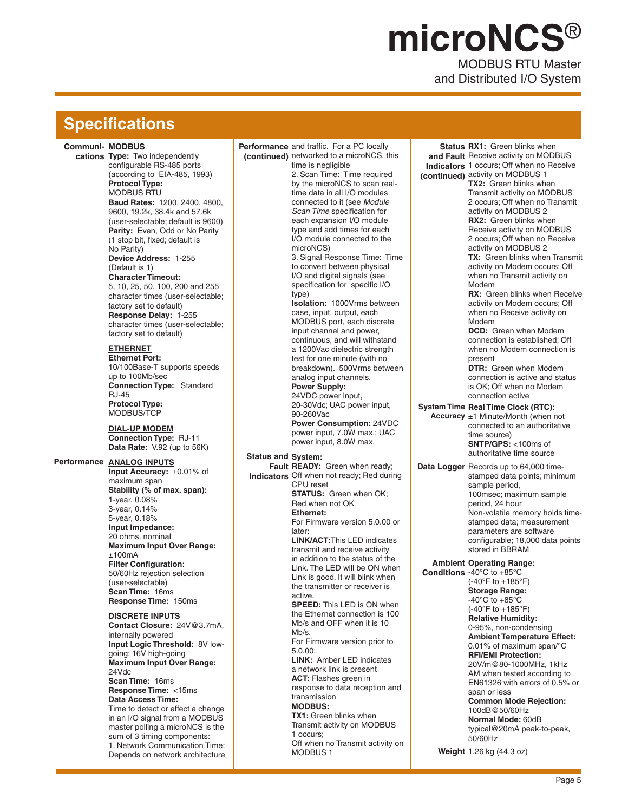# MODBUS RTU Master **microNCS**®

and Distributed I/O System

### **Specifications**

#### **Communi-MODBUS**

**cations Type:** Two independently configurable RS-485 ports (according to EIA-485, 1993) **Protocol Type:**  MODBUS RTU **Baud Rates:** 1200, 2400, 4800, 9600, 19.2k, 38.4k and 57.6k (user-selectable; default is 9600) **Parity:** Even, Odd or No Parity (1 stop bit, fixed; default is No Parity) **Device Address:** 1-255 (Default is 1) **Character Timeout:**  5, 10, 25, 50, 100, 200 and 255 character times (user-selectable; factory set to default) **Response Delay:** 1-255 character times (user-selectable; factory set to default) **ETHERNET Ethernet Port:**  10/100Base-T supports speeds up to 100Mb/sec **Connection Type:** Standard RJ-45 **Protocol Type:**  MODBUS/TCP **DIAL-UP MODEM Connection Type:** RJ-11 **Data Rate:** V.92 (up to 56K) **Performance ANALOG INPUTS Input Accuracy:** ±0.01% of maximum span **Stability (% of max. span):** 1-year, 0.08% 3-year, 0.14% 5-year, 0.18% **Input Impedance:** 20 ohms, nominal **Maximum Input Over Range:**  $±100mA$ **Filter Configuration:**  50/60Hz rejection selection (user-selectable) **Scan Time:** 16ms **Response Time:** 150ms

#### **DISCRETE INPUTS**

**Contact Closure:** 24V@3.7mA, internally powered **Input Logic Threshold:** 8V lowgoing; 16V high-going **Maximum Input Over Range:**  24Vdc **Scan Time:** 16ms **Response Time:** <15ms **Data Access Time:** Time to detect or effect a change in an I/O signal from a MODBUS master polling a microNCS is the sum of 3 timing components: 1. Network Communication Time: Depends on network architecture **Performance** and traffic. For a PC locally **(continued)** networked to a microNCS, this time is negligible 2. Scan Time: Time required by the microNCS to scan realtime data in all I/O modules connected to it (see *Module Scan Time* specification for each expansion I/O module type and add times for each I/O module connected to the microNCS) 3. Signal Response Time: Time to convert between physical I/O and digital signals (see specification for specific I/O type) **Isolation:** 1000Vrms between case, input, output, each MODBUS port, each discrete input channel and power, continuous, and will withstand a 1200Vac dielectric strength test for one minute (with no breakdown). 500Vrms between analog input channels. **Power Supply:**  24VDC power input, 20-30Vdc; UAC power input, 90-260Vac **Power Consumption:** 24VDC power input, 7.0W max.; UAC power input, 8.0W max. Status and **System:** Fault READY: Green when ready; Indicators Off when not ready; Red during CPU reset **STATUS:** Green when OK; Red when not OK **Ethernet:** For Firmware version 5.0.00 or later: **LINK/ACT:**This LED indicates transmit and receive activity in addition to the status of the Link. The LED will be ON when Link is good. It will blink when the transmitter or receiver is active. **SPEED:** This LED is ON when the Ethernet connection is 100 Mb/s and OFF when it is 10 Mb/s. For Firmware version prior to 5.0.00: **LINK:** Amber LED indicates a network link is present **ACT:** Flashes green in response to data reception and transmission **MODBUS: TX1:** Green blinks when Transmit activity on MODBUS 1 occurs; Off when no Transmit activity on MODBUS 1

**Status RX1:** Green blinks when **and Fault**  Receive activity on MODBUS **Indicators**  1 occurs; Off when no Receive **(continued)** activity on MODBUS 1 **Data Logger** Records up to 64,000 time-**System Time Real Time Clock (RTC): Accuracy** ±1 Minute/Month (when not **Ambient Operating Range: Conditions** -40°C to +85°C **TX2:** Green blinks when Transmit activity on MODBUS 2 occurs; Off when no Transmit activity on MODBUS 2 **RX2:** Green blinks when Receive activity on MODBUS 2 occurs; Off when no Receive activity on MODBUS 2 **TX:** Green blinks when Transmit activity on Modem occurs; Off when no Transmit activity on Modem **RX:** Green blinks when Receive activity on Modem occurs; Off when no Receive activity on Modem **DCD:** Green when Modem connection is established; Off when no Modem connection is present **DTR:** Green when Modem connection is active and status is OK; Off when no Modem connection active connected to an authoritative time source) **SNTP/GPS:** <100ms of authoritative time source stamped data points; minimum sample period, 100msec; maximum sample period, 24 hour Non-volatile memory holds timestamped data; measurement parameters are software configurable; 18,000 data points stored in BBRAM (-40°F to +185°F) **Storage Range:**  $-40^{\circ}$ C to  $+85^{\circ}$ C (-40°F to +185°F) **Relative Humidity:**  0-95%, non-condensing **Ambient Temperature Effect:**  0.01% of maximum span/°C **RFI/EMI Protection:** 20V/m@80-1000MHz, 1kHz AM when tested according to EN61326 with errors of 0.5% or span or less **Common Mode Rejection:**  100dB@50/60Hz **Normal Mode:** 60dB typical@20mA peak-to-peak, 50/60Hz

**Weight** 1.26 kg (44.3 oz)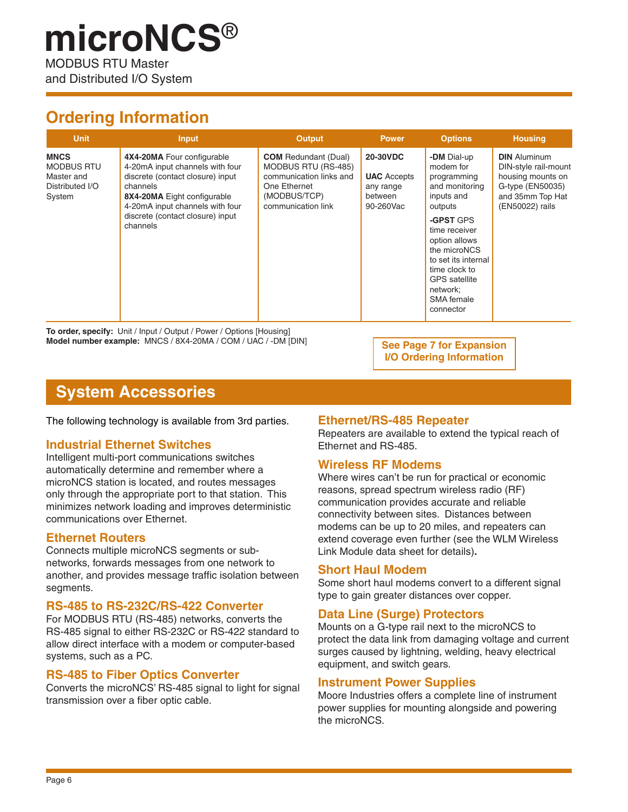### **Ordering Information**

and Distributed I/O System

| <b>Unit</b>                                                                 | <b>Input</b>                                                                                                                                                                                                                    | Output                                                                                                                              | <b>Power</b>                                                               | <b>Options</b>                                                                                                                                                                                                                                           | <b>Housing</b>                                                                                                              |
|-----------------------------------------------------------------------------|---------------------------------------------------------------------------------------------------------------------------------------------------------------------------------------------------------------------------------|-------------------------------------------------------------------------------------------------------------------------------------|----------------------------------------------------------------------------|----------------------------------------------------------------------------------------------------------------------------------------------------------------------------------------------------------------------------------------------------------|-----------------------------------------------------------------------------------------------------------------------------|
| <b>MNCS</b><br><b>MODBUS RTU</b><br>Master and<br>Distributed I/O<br>System | 4X4-20MA Four configurable<br>4-20mA input channels with four<br>discrete (contact closure) input<br>channels<br>8X4-20MA Eight configurable<br>4-20mA input channels with four<br>discrete (contact closure) input<br>channels | <b>COM</b> Redundant (Dual)<br>MODBUS RTU (RS-485)<br>communication links and<br>One Ethernet<br>(MODBUS/TCP)<br>communication link | <b>20-30VDC</b><br><b>UAC</b> Accepts<br>any range<br>between<br>90-260Vac | -DM Dial-up<br>modem for<br>programming<br>and monitoring<br>inputs and<br>outputs<br>-GPST GPS<br>time receiver<br>option allows<br>the microNCS<br>to set its internal<br>time clock to<br><b>GPS</b> satellite<br>network:<br>SMA female<br>connector | <b>DIN</b> Aluminum<br>DIN-style rail-mount<br>housing mounts on<br>G-type (EN50035)<br>and 35mm Top Hat<br>(EN50022) rails |

**To order, specify:** Unit / Input / Output / Power / Options [Housing] **Model number example:** MNCS / 8X4-20MA / COM / UAC / -DM [DIN] **See Page 7 for Expansion** 

**I/O Ordering Information**

### **System Accessories**

The following technology is available from 3rd parties.

### **Industrial Ethernet Switches**

Intelligent multi-port communications switches automatically determine and remember where a microNCS station is located, and routes messages only through the appropriate port to that station. This minimizes network loading and improves deterministic communications over Ethernet.

#### **Ethernet Routers**

Connects multiple microNCS segments or subnetworks, forwards messages from one network to another, and provides message traffic isolation between segments.

#### **RS-485 to RS-232C/RS-422 Converter**

For MODBUS RTU (RS-485) networks, converts the RS-485 signal to either RS-232C or RS-422 standard to allow direct interface with a modem or computer-based systems, such as a PC.

#### **RS-485 to Fiber Optics Converter**

Converts the microNCS' RS-485 signal to light for signal transmission over a fiber optic cable.

#### **Ethernet/RS-485 Repeater**

Repeaters are available to extend the typical reach of Ethernet and RS-485.

### **Wireless RF Modems**

Where wires can't be run for practical or economic reasons, spread spectrum wireless radio (RF) communication provides accurate and reliable connectivity between sites. Distances between modems can be up to 20 miles, and repeaters can extend coverage even further (see the WLM Wireless Link Module data sheet for details)**.**

#### **Short Haul Modem**

Some short haul modems convert to a different signal type to gain greater distances over copper.

### **Data Line (Surge) Protectors**

Mounts on a G-type rail next to the microNCS to protect the data link from damaging voltage and current surges caused by lightning, welding, heavy electrical equipment, and switch gears.

#### **Instrument Power Supplies**

Moore Industries offers a complete line of instrument power supplies for mounting alongside and powering the microNCS.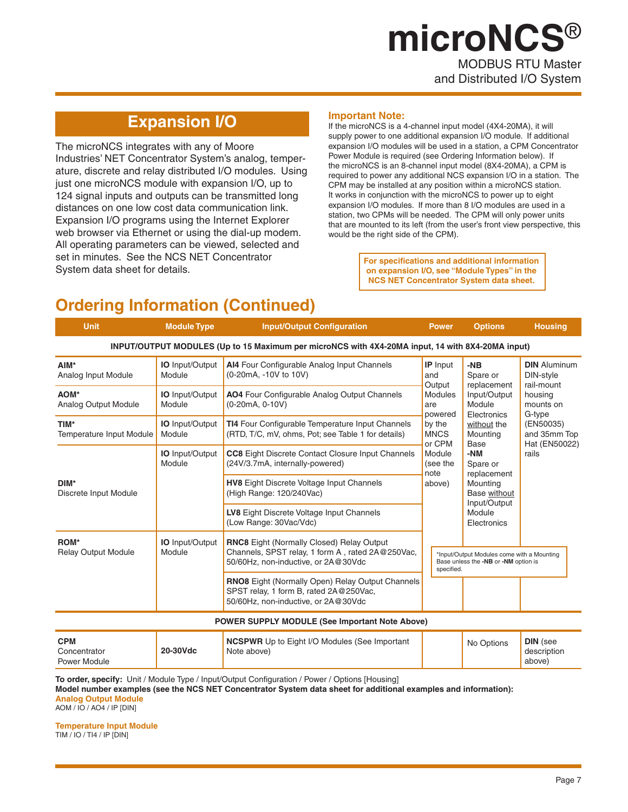# MODBUS RTU Master **microNCS**®

and Distributed I/O System

### **Expansion I/O**

The microNCS integrates with any of Moore Industries' NET Concentrator System's analog, temperature, discrete and relay distributed I/O modules. Using just one microNCS module with expansion I/O, up to 124 signal inputs and outputs can be transmitted long distances on one low cost data communication link. Expansion I/O programs using the Internet Explorer web browser via Ethernet or using the dial-up modem. All operating parameters can be viewed, selected and set in minutes. See the NCS NET Concentrator System data sheet for details.

#### **Important Note:**

If the microNCS is a 4-channel input model (4X4-20MA), it will supply power to one additional expansion I/O module. If additional expansion I/O modules will be used in a station, a CPM Concentrator Power Module is required (see Ordering Information below). If the microNCS is an 8-channel input model (8X4-20MA), a CPM is required to power any additional NCS expansion I/O in a station. The CPM may be installed at any position within a microNCS station. It works in conjunction with the microNCS to power up to eight expansion I/O modules. If more than 8 I/O modules are used in a station, two CPMs will be needed. The CPM will only power units that are mounted to its left (from the user's front view perspective, this would be the right side of the CPM).

> **For specifications and additional information on expansion I/O, see "Module Types" in the NCS NET Concentrator System data sheet.**

### **Ordering Information (Continued)**

| <b>Unit</b>                                                                                      | <b>Module Type</b>               | <b>Input/Output Configuration</b>                                                                                                           | <b>Power</b>                     | <b>Options</b>                                                                                                                                                                             | <b>Housing</b>                                                                                                                 |  |  |  |
|--------------------------------------------------------------------------------------------------|----------------------------------|---------------------------------------------------------------------------------------------------------------------------------------------|----------------------------------|--------------------------------------------------------------------------------------------------------------------------------------------------------------------------------------------|--------------------------------------------------------------------------------------------------------------------------------|--|--|--|
| INPUT/OUTPUT MODULES (Up to 15 Maximum per microNCS with 4X4-20MA input, 14 with 8X4-20MA input) |                                  |                                                                                                                                             |                                  |                                                                                                                                                                                            |                                                                                                                                |  |  |  |
| AIM*<br>Analog Input Module                                                                      | <b>IO</b> Input/Output<br>Module | Al4 Four Configurable Analog Input Channels<br>(0-20mA, -10V to 10V)                                                                        | <b>IP</b> Input<br>and<br>Output | $-NB$<br>Spare or<br>replacement<br>Input/Output<br>Module<br>Electronics<br>without the<br>Mounting<br>Base<br>-NM<br>Spare or<br>replacement<br>Mounting<br>Base without<br>Input/Output | <b>DIN</b> Aluminum<br>DIN-style<br>rail-mount<br>housing<br>mounts on<br>G-type<br>(EN50035)<br>and 35mm Top<br>Hat (EN50022) |  |  |  |
| AOM*<br>Analog Output Module                                                                     | <b>IO</b> Input/Output<br>Module | AO4 Four Configurable Analog Output Channels<br>(0-20mA, 0-10V)                                                                             | <b>Modules</b><br>are<br>powered |                                                                                                                                                                                            |                                                                                                                                |  |  |  |
| TIM*<br>Temperature Input Module                                                                 | <b>IO</b> Input/Output<br>Module | TI4 Four Configurable Temperature Input Channels<br>(RTD, T/C, mV, ohms, Pot; see Table 1 for details)                                      | by the<br><b>MNCS</b><br>or CPM  |                                                                                                                                                                                            |                                                                                                                                |  |  |  |
|                                                                                                  | <b>IO</b> Input/Output<br>Module | <b>CC8</b> Eight Discrete Contact Closure Input Channels<br>(24V/3.7mA, internally-powered)                                                 | Module<br>(see the<br>note       |                                                                                                                                                                                            | rails                                                                                                                          |  |  |  |
| DIM*<br>Discrete Input Module                                                                    |                                  | <b>HV8</b> Eight Discrete Voltage Input Channels<br>(High Range: 120/240Vac)                                                                | above)                           |                                                                                                                                                                                            |                                                                                                                                |  |  |  |
|                                                                                                  |                                  | LV8 Eight Discrete Voltage Input Channels<br>(Low Range: 30Vac/Vdc)                                                                         |                                  | Module<br>Electronics                                                                                                                                                                      |                                                                                                                                |  |  |  |
| ROM*<br><b>Relay Output Module</b>                                                               | <b>IO</b> Input/Output<br>Module | <b>RNC8</b> Eight (Normally Closed) Relay Output<br>Channels, SPST relay, 1 form A, rated 2A@250Vac,<br>50/60Hz, non-inductive, or 2A@30Vdc | specified.                       | *Input/Output Modules come with a Mounting<br>Base unless the -NB or -NM option is                                                                                                         |                                                                                                                                |  |  |  |
|                                                                                                  |                                  | <b>RNO8</b> Eight (Normally Open) Relay Output Channels<br>SPST relay, 1 form B, rated 2A@250Vac,<br>50/60Hz, non-inductive, or 2A@30Vdc    |                                  |                                                                                                                                                                                            |                                                                                                                                |  |  |  |
|                                                                                                  |                                  | <b>POWER SUPPLY MODULE (See Important Note Above)</b>                                                                                       |                                  |                                                                                                                                                                                            |                                                                                                                                |  |  |  |
| <b>CPM</b>                                                                                       |                                  | <b>NCSPWR</b> Up to Eight I/O Modules (See Important                                                                                        |                                  | No Options                                                                                                                                                                                 | <b>DIN</b> (see                                                                                                                |  |  |  |

| ,,,,,, |  |  |  |  |
|--------|--|--|--|--|
|        |  |  |  |  |

**To order, specify:** Unit / Module Type / Input/Output Configuration / Power / Options [Housing]

**20-30Vdc**

Note above)

**Model number examples (see the NCS NET Concentrator System data sheet for additional examples and information): Analog Output Module**

AOM / IO / AO4 / IP [DIN]

**Concentrator** 

**Temperature Input Module** TIM / IO / TI4 / IP [DIN]

description above)